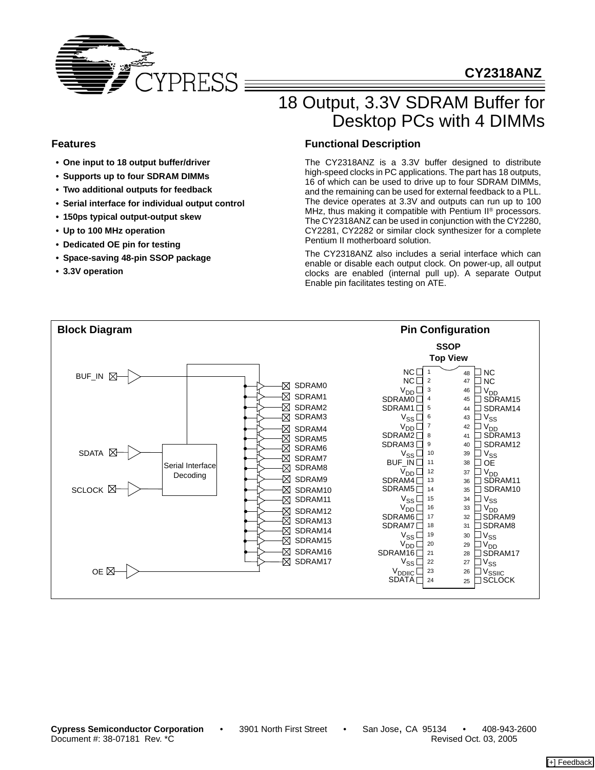

# **CY2318ANZ**

# 18 Output, 3.3V SDRAM Buffer for Desktop PCs with 4 DIMMs

### **Features**

- **One input to 18 output buffer/driver**
- **Supports up to four SDRAM DIMMs**
- **Two additional outputs for feedback**
- **Serial interface for individual output control**
- **150ps typical output-output skew**
- **Up to 100 MHz operation**
- **Dedicated OE pin for testing**
- **Space-saving 48-pin SSOP package**
- **3.3V operation**

### **Functional Description**

The CY2318ANZ is a 3.3V buffer designed to distribute high-speed clocks in PC applications. The part has 18 outputs, 16 of which can be used to drive up to four SDRAM DIMMs, and the remaining can be used for external feedback to a PLL. The device operates at 3.3V and outputs can run up to 100 MHz, thus making it compatible with Pentium II<sup>®</sup> processors. The CY2318ANZ can be used in conjunction with the CY2280, CY2281, CY2282 or similar clock synthesizer for a complete Pentium II motherboard solution.

The CY2318ANZ also includes a serial interface which can enable or disable each output clock. On power-up, all output clocks are enabled (internal pull up). A separate Output Enable pin facilitates testing on ATE.

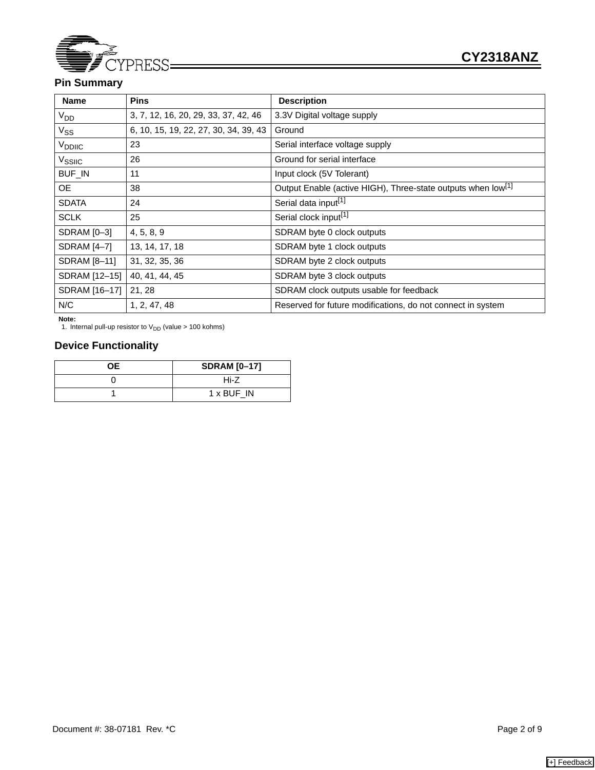

# **Pin Summary**

| <b>Name</b>        | <b>Pins</b>                           | <b>Description</b>                                                       |
|--------------------|---------------------------------------|--------------------------------------------------------------------------|
| V <sub>DD</sub>    | 3, 7, 12, 16, 20, 29, 33, 37, 42, 46  | 3.3V Digital voltage supply                                              |
| $V_{SS}$           | 6, 10, 15, 19, 22, 27, 30, 34, 39, 43 | Ground                                                                   |
| V <sub>DDIIC</sub> | 23                                    | Serial interface voltage supply                                          |
| V <sub>SSIIC</sub> | 26                                    | Ground for serial interface                                              |
| <b>BUF_IN</b>      | 11                                    | Input clock (5V Tolerant)                                                |
| <b>OE</b>          | 38                                    | Output Enable (active HIGH), Three-state outputs when low <sup>[1]</sup> |
| <b>SDATA</b>       | 24                                    | Serial data input <sup>[1]</sup>                                         |
| <b>SCLK</b>        | 25                                    | Serial clock input <sup>[1]</sup>                                        |
| SDRAM [0-3]        | 4, 5, 8, 9                            | SDRAM byte 0 clock outputs                                               |
| SDRAM [4-7]        | 13, 14, 17, 18                        | SDRAM byte 1 clock outputs                                               |
| SDRAM [8-11]       | 31, 32, 35, 36                        | SDRAM byte 2 clock outputs                                               |
| SDRAM [12-15]      | 40, 41, 44, 45                        | SDRAM byte 3 clock outputs                                               |
| SDRAM [16-17]      | 21, 28                                | SDRAM clock outputs usable for feedback                                  |
| N/C                | 1, 2, 47, 48                          | Reserved for future modifications, do not connect in system              |

**Note:** 

1. Internal pull-up resistor to  $V_{DD}$  (value > 100 kohms)

# **Device Functionality**

| OE. | <b>SDRAM [0-17]</b> |
|-----|---------------------|
|     | Hi-Z                |
|     | 1 x BUF IN          |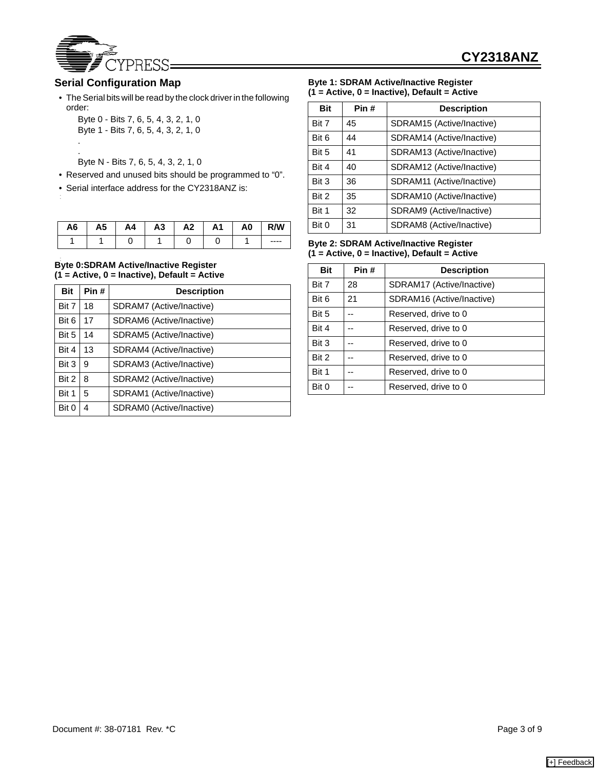

## **Serial Configuration Map**

.

- The Serial bits will be read by the clock driver in the following order:
	- Byte 0 Bits 7, 6, 5, 4, 3, 2, 1, 0 Byte 1 - Bits 7, 6, 5, 4, 3, 2, 1, 0 .
	- Byte N Bits 7, 6, 5, 4, 3, 2, 1, 0
- Reserved and unused bits should be programmed to "0".
- Serial interface address for the CY2318ANZ is:

| A6 | A5 | A4 | A <sub>3</sub> | A2 | A1 | A0 | R/W       |
|----|----|----|----------------|----|----|----|-----------|
|    |    |    |                |    |    |    | $- - - -$ |

#### • **Byte 0:SDRAM Active/Inactive Register (1 = Active, 0 = Inactive), Default = Active**

| <b>Bit</b> | Pin# | <b>Description</b>       |
|------------|------|--------------------------|
| Bit 7      | 18   | SDRAM7 (Active/Inactive) |
| Bit 6      | 17   | SDRAM6 (Active/Inactive) |
| Bit 5      | 14   | SDRAM5 (Active/Inactive) |
| Bit 4      | 13   | SDRAM4 (Active/Inactive) |
| Bit 3      | 9    | SDRAM3 (Active/Inactive) |
| Bit 2      | 8    | SDRAM2 (Active/Inactive) |
| Bit 1      | 5    | SDRAM1 (Active/Inactive) |
| Bit 0      | 4    | SDRAM0 (Active/Inactive) |

#### **Byte 1: SDRAM Active/Inactive Register (1 = Active, 0 = Inactive), Default = Active**

| <b>Bit</b> | Pin# | <b>Description</b>        |  |
|------------|------|---------------------------|--|
| Bit 7      | 45   | SDRAM15 (Active/Inactive) |  |
| Bit 6      | 44   | SDRAM14 (Active/Inactive) |  |
| Bit 5      | 41   | SDRAM13 (Active/Inactive) |  |
| Bit 4      | 40   | SDRAM12 (Active/Inactive) |  |
| Bit 3      | 36   | SDRAM11 (Active/Inactive) |  |
| Bit 2      | 35   | SDRAM10 (Active/Inactive) |  |
| Bit 1      | 32   | SDRAM9 (Active/Inactive)  |  |
| Bit 0      | 31   | SDRAM8 (Active/Inactive)  |  |

#### **Byte 2: SDRAM Active/Inactive Register (1 = Active, 0 = Inactive), Default = Active**

| <b>Bit</b> | Pin# | <b>Description</b>        |  |
|------------|------|---------------------------|--|
| Bit 7      | 28   | SDRAM17 (Active/Inactive) |  |
| Bit 6      | 21   | SDRAM16 (Active/Inactive) |  |
| Bit 5      |      | Reserved, drive to 0      |  |
| Bit 4      |      | Reserved, drive to 0      |  |
| Bit 3      | --   | Reserved, drive to 0      |  |
| Bit 2      |      | Reserved, drive to 0      |  |
| Bit 1      |      | Reserved, drive to 0      |  |
| Bit 0      |      | Reserved, drive to 0      |  |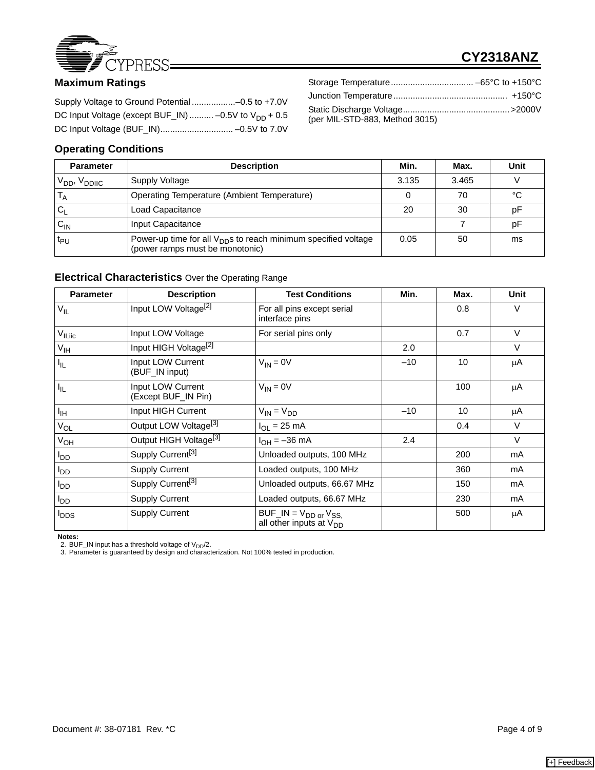

# **CY2318ANZ**

| DC Input Voltage (except BUF_IN)  -0.5V to $V_{DD}$ + 0.5 |  |
|-----------------------------------------------------------|--|
|                                                           |  |

# **Operating Conditions**

| (per MIL-STD-883, Method 3015) |  |
|--------------------------------|--|
|                                |  |

| <b>Parameter</b>                     | <b>Description</b>                                                                                            | Min.  | Max.  | Unit |
|--------------------------------------|---------------------------------------------------------------------------------------------------------------|-------|-------|------|
| V <sub>DD</sub> , V <sub>DDIIC</sub> | Supply Voltage                                                                                                | 3.135 | 3.465 |      |
|                                      | Operating Temperature (Ambient Temperature)                                                                   |       | 70    | °C   |
| Cı                                   | Load Capacitance                                                                                              | 20    | 30    | рF   |
| $\mathsf{C}_{\mathsf{IN}}$           | Input Capacitance                                                                                             |       |       | рF   |
| t <sub>PU</sub>                      | Power-up time for all V <sub>DD</sub> s to reach minimum specified voltage<br>(power ramps must be monotonic) | 0.05  | 50    | ms   |

### **Electrical Characteristics** Over the Operating Range

| <b>Parameter</b>        | <b>Description</b>                       | <b>Test Conditions</b>                                                     | Min.  | Max. | <b>Unit</b> |
|-------------------------|------------------------------------------|----------------------------------------------------------------------------|-------|------|-------------|
| $V_{IL}$                | Input LOW Voltage <sup>[2]</sup>         | For all pins except serial<br>interface pins                               |       | 0.8  | $\vee$      |
| V <sub>ILlic</sub>      | Input LOW Voltage                        | For serial pins only                                                       |       | 0.7  | $\vee$      |
| V <sub>IH</sub>         | Input HIGH Voltage <sup>[2]</sup>        |                                                                            | 2.0   |      | $\vee$      |
| $I_{IL}$                | Input LOW Current<br>(BUF_IN input)      | $V_{IN} = 0V$                                                              | $-10$ | 10   | μA          |
| $I_{IL}$                | Input LOW Current<br>(Except BUF_IN Pin) | $V_{IN} = 0V$                                                              |       | 100  | μA          |
| $I_{\rm IH}$            | Input HIGH Current                       | $V_{IN} = V_{DD}$                                                          | $-10$ | 10   | μA          |
| $V_{OL}$                | Output LOW Voltage <sup>[3]</sup>        | $I_{OL}$ = 25 mA                                                           |       | 0.4  | $\vee$      |
| $V_{OH}$                | Output HIGH Voltage <sup>[3]</sup>       | $I_{OH} = -36$ mA                                                          | 2.4   |      | $\vee$      |
| $I_{DD}$                | Supply Current <sup>[3]</sup>            | Unloaded outputs, 100 MHz                                                  |       | 200  | mA          |
| $I_{DD}$                | <b>Supply Current</b>                    | Loaded outputs, 100 MHz                                                    |       | 360  | mA          |
| $I_{DD}$                | Supply Current <sup>[3]</sup>            | Unloaded outputs, 66.67 MHz                                                |       | 150  | mA          |
| $I_{DD}$                | <b>Supply Current</b>                    | Loaded outputs, 66.67 MHz                                                  |       | 230  | mA          |
| <b>I</b> <sub>DDS</sub> | <b>Supply Current</b>                    | $BUF$ <sub>IN</sub> = $V_{DD}$ or $V_{SS}$<br>all other inputs at $V_{DD}$ |       | 500  | μA          |

**Notes:**<br>2. BUF\_IN input has a threshold voltage of V<sub>DD</sub>/2.<br>3. Parameter is guaranteed by design and characterization. Not 100% tested in production.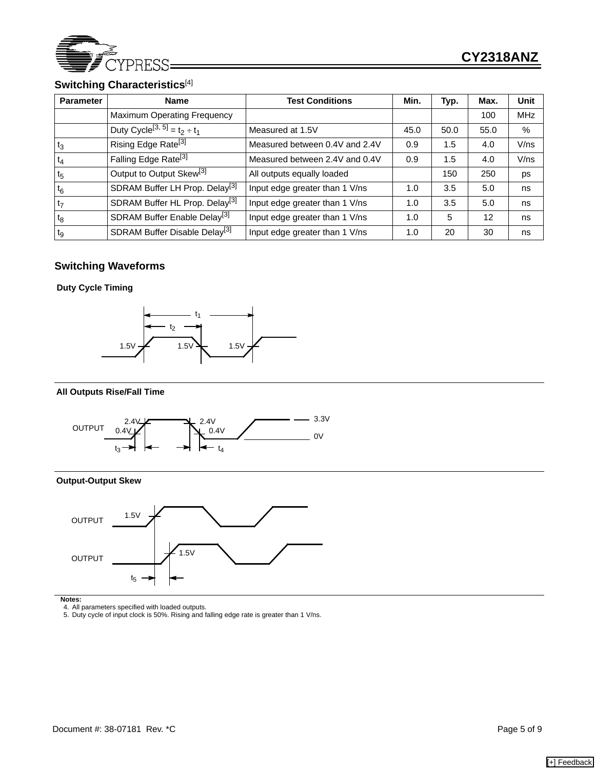

# **Switching Characteristics**[4]

| <b>Parameter</b> | <b>Name</b>                                   | <b>Test Conditions</b>         | Min. | Typ. | Max. | <b>Unit</b> |
|------------------|-----------------------------------------------|--------------------------------|------|------|------|-------------|
|                  | <b>Maximum Operating Frequency</b>            |                                |      |      | 100  | <b>MHz</b>  |
|                  | Duty Cycle <sup>[3, 5]</sup> = $t_2 \div t_1$ | Measured at 1.5V               | 45.0 | 50.0 | 55.0 | %           |
| $t_3$            | Rising Edge Rate <sup>[3]</sup>               | Measured between 0.4V and 2.4V | 0.9  | 1.5  | 4.0  | V/ns        |
| $t_4$            | Falling Edge Rate <sup>[3]</sup>              | Measured between 2.4V and 0.4V | 0.9  | 1.5  | 4.0  | V/ns        |
| t <sub>5</sub>   | Output to Output Skew <sup>[3]</sup>          | All outputs equally loaded     |      | 150  | 250  | ps          |
| $t_6$            | SDRAM Buffer LH Prop. Delay <sup>[3]</sup>    | Input edge greater than 1 V/ns | 1.0  | 3.5  | 5.0  | ns          |
| t <sub>7</sub>   | SDRAM Buffer HL Prop. Delay <sup>[3]</sup>    | Input edge greater than 1 V/ns | 1.0  | 3.5  | 5.0  | ns          |
| $t_8$            | SDRAM Buffer Enable Delay <sup>[3]</sup>      | Input edge greater than 1 V/ns | 1.0  | 5    | 12   | ns          |
| tg               | SDRAM Buffer Disable Delay <sup>[3]</sup>     | Input edge greater than 1 V/ns | 1.0  | 20   | 30   | ns          |

# **Switching Waveforms**

**Duty Cycle Timing**



#### **All Outputs Rise/Fall Time**



### **Output-Output Skew**



**Notes:**  4. All parameters specified with loaded outputs. 5. Duty cycle of input clock is 50%. Rising and falling edge rate is greater than 1 V/ns.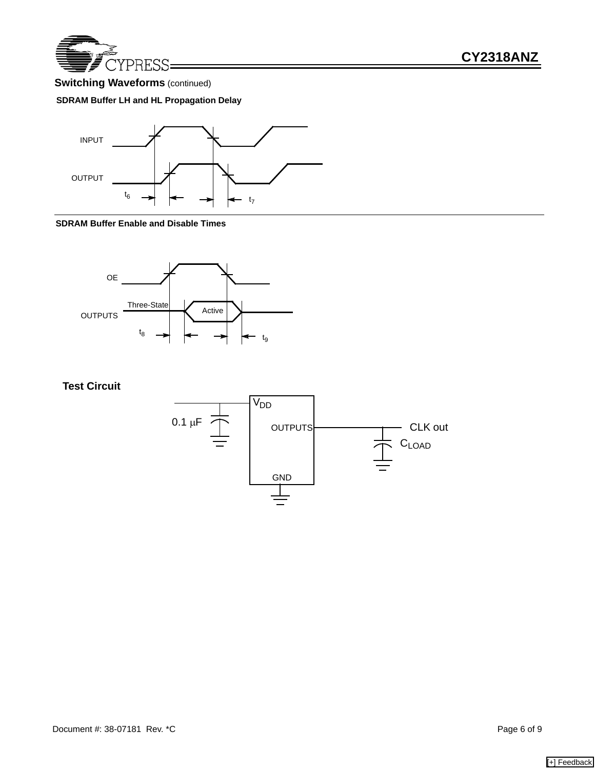

# **Switching Waveforms** (continued)

### **SDRAM Buffer LH and HL Propagation Delay**



#### **SDRAM Buffer Enable and Disable Times**



**Test Circuit**

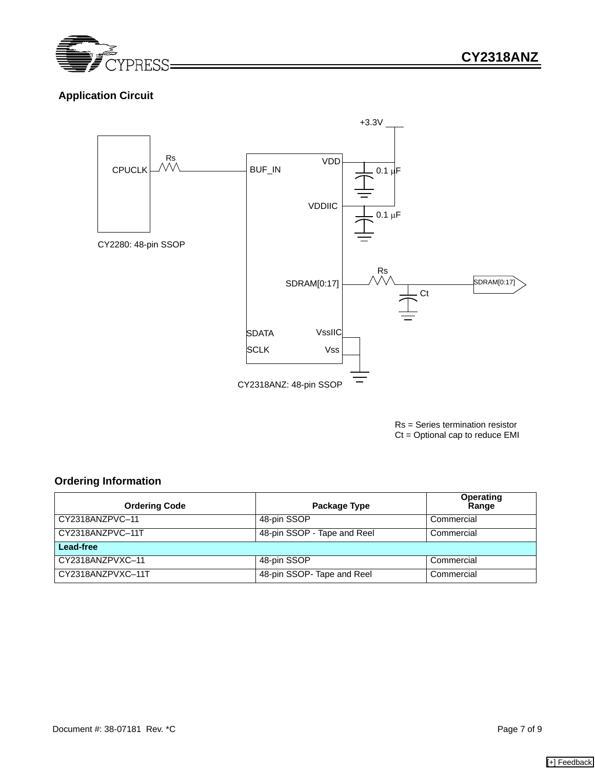

# **Application Circuit**



Rs = Series termination resistor Ct = Optional cap to reduce EMI

### **Ordering Information**

| <b>Ordering Code</b> | Package Type                | Operating<br>Range |  |
|----------------------|-----------------------------|--------------------|--|
| CY2318ANZPVC-11      | 48-pin SSOP                 | Commercial         |  |
| CY2318ANZPVC-11T     | 48-pin SSOP - Tape and Reel | Commercial         |  |
| Lead-free            |                             |                    |  |
| CY2318ANZPVXC-11     | 48-pin SSOP                 | Commercial         |  |
| CY2318ANZPVXC-11T    | 48-pin SSOP- Tape and Reel  | Commercial         |  |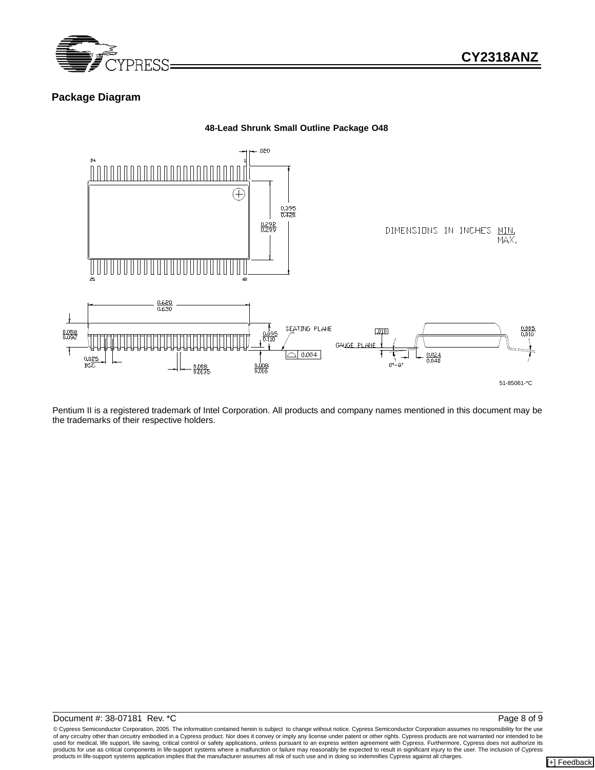

### **Package Diagram**



Pentium II is a registered trademark of Intel Corporation. All products and company names mentioned in this document may be the trademarks of their respective holders.

#### Document #: 38-07181 Rev. \*C Page 8 of 9

© Cypress Semiconductor Corporation, 2005. The information contained herein is subject to change without notice. Cypress Semiconductor Corporation assumes no responsibility for the use of any circuitry other than circuitry embodied in a Cypress product. Nor does it convey or imply any license under patent or other rights. Cypress products are not warranted nor intended to be<br>used for medical, life suppor products in life-support systems application implies that the manufacturer assumes all risk of such use and in doing so indemnifies Cypress against all charges.